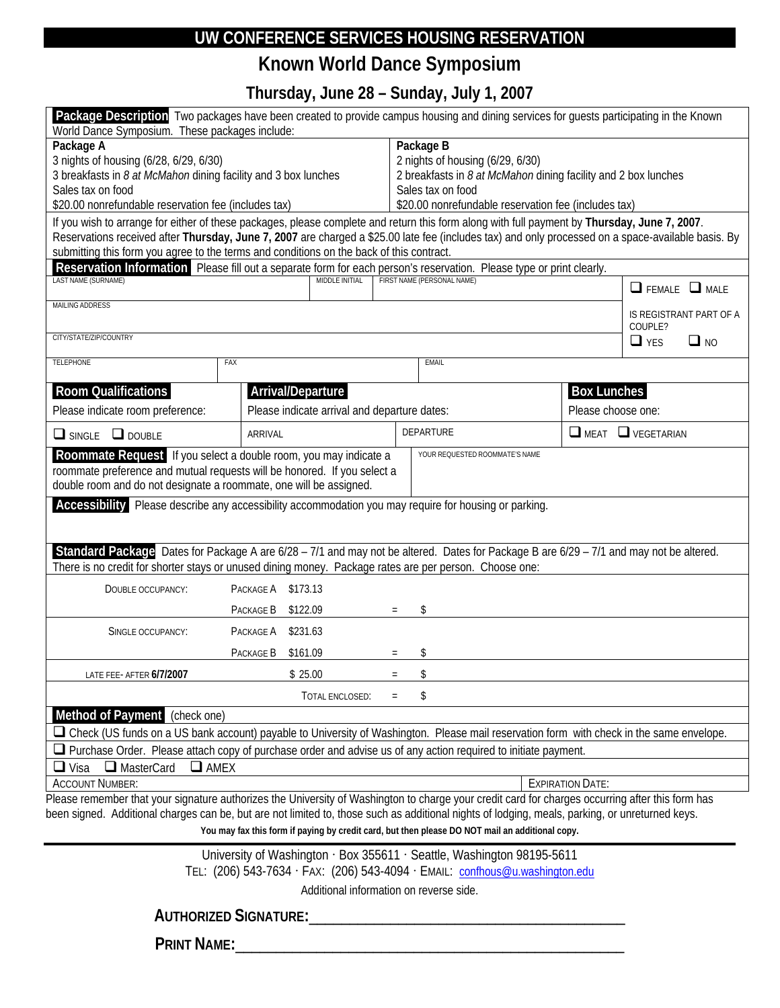## **UW CONFERENCE SERVICES HOUSING RESERVATION**

## **Known World Dance Symposium**

**Thursday, June 28 – Sunday, July 1, 2007** 

| Package Description Two packages have been created to provide campus housing and dining services for guests participating in the Known<br>World Dance Symposium. These packages include:                                                                                                                                                                                                       |                    |     |                                                                                                                                                                                              |                    |                                    |  |
|------------------------------------------------------------------------------------------------------------------------------------------------------------------------------------------------------------------------------------------------------------------------------------------------------------------------------------------------------------------------------------------------|--------------------|-----|----------------------------------------------------------------------------------------------------------------------------------------------------------------------------------------------|--------------------|------------------------------------|--|
| Package A<br>3 nights of housing (6/28, 6/29, 6/30)<br>3 breakfasts in 8 at McMahon dining facility and 3 box lunches<br>Sales tax on food<br>\$20.00 nonrefundable reservation fee (includes tax)                                                                                                                                                                                             |                    |     | Package B<br>2 nights of housing (6/29, 6/30)<br>2 breakfasts in 8 at McMahon dining facility and 2 box lunches<br>Sales tax on food<br>\$20.00 nonrefundable reservation fee (includes tax) |                    |                                    |  |
| If you wish to arrange for either of these packages, please complete and return this form along with full payment by Thursday, June 7, 2007.<br>Reservations received after Thursday, June 7, 2007 are charged a \$25.00 late fee (includes tax) and only processed on a space-available basis. By<br>submitting this form you agree to the terms and conditions on the back of this contract. |                    |     |                                                                                                                                                                                              |                    |                                    |  |
| Reservation Information Please fill out a separate form for each person's reservation. Please type or print clearly.<br>LAST NAME (SURNAME)<br>FIRST NAME (PERSONAL NAME)<br><b>MIDDLE INITIAL</b>                                                                                                                                                                                             |                    |     |                                                                                                                                                                                              |                    | $\Box$ FEMALE $\Box$ MALE          |  |
| MAILING ADDRESS<br>CITY/STATE/ZIP/COUNTRY                                                                                                                                                                                                                                                                                                                                                      |                    |     |                                                                                                                                                                                              |                    | IS REGISTRANT PART OF A<br>COUPLE? |  |
|                                                                                                                                                                                                                                                                                                                                                                                                |                    |     |                                                                                                                                                                                              |                    | $\Box$ YES<br>$\Box$ NO            |  |
| <b>TELEPHONE</b>                                                                                                                                                                                                                                                                                                                                                                               | FAX                |     | EMAIL                                                                                                                                                                                        |                    |                                    |  |
| <b>Room Qualifications</b><br>Arrival/Departure<br><b>Box Lunches</b>                                                                                                                                                                                                                                                                                                                          |                    |     |                                                                                                                                                                                              |                    |                                    |  |
| Please indicate room preference:<br>Please indicate arrival and departure dates:                                                                                                                                                                                                                                                                                                               |                    |     |                                                                                                                                                                                              | Please choose one: |                                    |  |
| $\Box$ SINGLE $\Box$ DOUBLE                                                                                                                                                                                                                                                                                                                                                                    | <b>ARRIVAL</b>     |     | <b>DEPARTURE</b>                                                                                                                                                                             |                    | $\Box$ MEAT $\Box$ VEGETARIAN      |  |
| Roommate Request If you select a double room, you may indicate a<br>YOUR REQUESTED ROOMMATE'S NAME<br>roommate preference and mutual requests will be honored. If you select a<br>double room and do not designate a roommate, one will be assigned.                                                                                                                                           |                    |     |                                                                                                                                                                                              |                    |                                    |  |
| Accessibility Please describe any accessibility accommodation you may require for housing or parking.                                                                                                                                                                                                                                                                                          |                    |     |                                                                                                                                                                                              |                    |                                    |  |
| Standard Package Dates for Package A are 6/28 - 7/1 and may not be altered. Dates for Package B are 6/29 - 7/1 and may not be altered.<br>There is no credit for shorter stays or unused dining money. Package rates are per person. Choose one:                                                                                                                                               |                    |     |                                                                                                                                                                                              |                    |                                    |  |
| DOUBLE OCCUPANCY:                                                                                                                                                                                                                                                                                                                                                                              | PACKAGE A \$173.13 |     |                                                                                                                                                                                              |                    |                                    |  |
|                                                                                                                                                                                                                                                                                                                                                                                                | PACKAGE B \$122.09 |     | \$                                                                                                                                                                                           |                    |                                    |  |
| SINGLE OCCUPANCY:                                                                                                                                                                                                                                                                                                                                                                              | PACKAGE A \$231.63 |     |                                                                                                                                                                                              |                    |                                    |  |
|                                                                                                                                                                                                                                                                                                                                                                                                | PACKAGE B \$161.09 |     | \$                                                                                                                                                                                           |                    |                                    |  |
| LATE FEE- AFTER 6/7/2007                                                                                                                                                                                                                                                                                                                                                                       | \$25.00            | $=$ | \$                                                                                                                                                                                           |                    |                                    |  |
|                                                                                                                                                                                                                                                                                                                                                                                                | TOTAL ENCLOSED:    | $=$ | \$                                                                                                                                                                                           |                    |                                    |  |
| Method of Payment (check one)                                                                                                                                                                                                                                                                                                                                                                  |                    |     |                                                                                                                                                                                              |                    |                                    |  |
| □ Check (US funds on a US bank account) payable to University of Washington. Please mail reservation form with check in the same envelope.                                                                                                                                                                                                                                                     |                    |     |                                                                                                                                                                                              |                    |                                    |  |
| $\Box$ Purchase Order. Please attach copy of purchase order and advise us of any action required to initiate payment.                                                                                                                                                                                                                                                                          |                    |     |                                                                                                                                                                                              |                    |                                    |  |
| MasterCard<br>$\Box$ AMEX<br>$\Box$ Visa                                                                                                                                                                                                                                                                                                                                                       |                    |     |                                                                                                                                                                                              |                    |                                    |  |
| <b>ACCOUNT NUMBER:</b><br><b>EXPIRATION DATE:</b>                                                                                                                                                                                                                                                                                                                                              |                    |     |                                                                                                                                                                                              |                    |                                    |  |
| Please remember that your signature authorizes the University of Washington to charge your credit card for charges occurring after this form has<br>been signed. Additional charges can be, but are not limited to, those such as additional nights of lodging, meals, parking, or unreturned keys.                                                                                            |                    |     |                                                                                                                                                                                              |                    |                                    |  |
| You may fax this form if paying by credit card, but then please DO NOT mail an additional copy.                                                                                                                                                                                                                                                                                                |                    |     |                                                                                                                                                                                              |                    |                                    |  |

University of Washington · Box 355611 · Seattle, Washington 98195-5611

TEL: (206) 543-7634 · FAX: (206) 543-4094 · EMAIL: [confhous@u.washington.edu](mailto:confhous@u.washington.edu)

Additional information on reverse side.

**AUTHORIZED SIGNATURE:**\_\_\_\_\_\_\_\_\_\_\_\_\_\_\_\_\_\_\_\_\_\_\_\_\_\_\_\_\_\_\_\_\_\_\_\_\_\_\_

**PRINT NAME:**\_\_\_\_\_\_\_\_\_\_\_\_\_\_\_\_\_\_\_\_\_\_\_\_\_\_\_\_\_\_\_\_\_\_\_\_\_\_\_\_\_\_\_\_\_\_\_\_